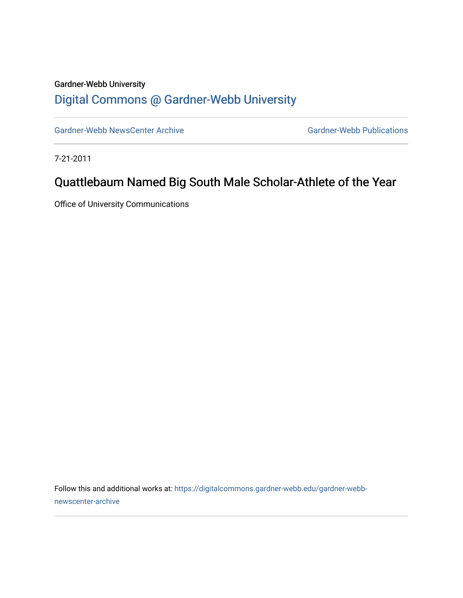## Gardner-Webb University [Digital Commons @ Gardner-Webb University](https://digitalcommons.gardner-webb.edu/)

[Gardner-Webb NewsCenter Archive](https://digitalcommons.gardner-webb.edu/gardner-webb-newscenter-archive) Gardner-Webb Publications

7-21-2011

## Quattlebaum Named Big South Male Scholar-Athlete of the Year

Office of University Communications

Follow this and additional works at: [https://digitalcommons.gardner-webb.edu/gardner-webb](https://digitalcommons.gardner-webb.edu/gardner-webb-newscenter-archive?utm_source=digitalcommons.gardner-webb.edu%2Fgardner-webb-newscenter-archive%2F2055&utm_medium=PDF&utm_campaign=PDFCoverPages)[newscenter-archive](https://digitalcommons.gardner-webb.edu/gardner-webb-newscenter-archive?utm_source=digitalcommons.gardner-webb.edu%2Fgardner-webb-newscenter-archive%2F2055&utm_medium=PDF&utm_campaign=PDFCoverPages)